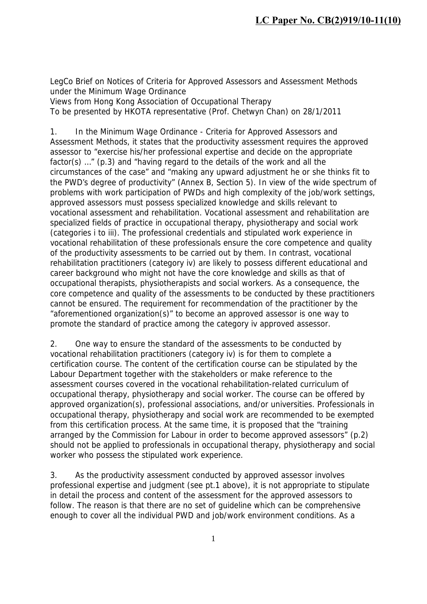LegCo Brief on Notices of Criteria for Approved Assessors and Assessment Methods under the Minimum Wage Ordinance Views from Hong Kong Association of Occupational Therapy To be presented by HKOTA representative (Prof. Chetwyn Chan) on 28/1/2011

1. In the Minimum Wage Ordinance - Criteria for Approved Assessors and Assessment Methods, it states that the productivity assessment requires the approved assessor to "exercise his/her professional expertise and decide on the appropriate factor(s) …" (p.3) and "having regard to the details of the work and all the circumstances of the case" and "making any upward adjustment he or she thinks fit to the PWD's degree of productivity" (Annex B, Section 5). In view of the wide spectrum of problems with work participation of PWDs and high complexity of the job/work settings, approved assessors must possess specialized knowledge and skills relevant to vocational assessment and rehabilitation. Vocational assessment and rehabilitation are specialized fields of practice in occupational therapy, physiotherapy and social work (categories i to iii). The professional credentials and stipulated work experience in vocational rehabilitation of these professionals ensure the core competence and quality of the productivity assessments to be carried out by them. In contrast, vocational rehabilitation practitioners (category iv) are likely to possess different educational and career background who might not have the core knowledge and skills as that of occupational therapists, physiotherapists and social workers. As a consequence, the core competence and quality of the assessments to be conducted by these practitioners cannot be ensured. The requirement for recommendation of the practitioner by the "aforementioned organization(s)" to become an approved assessor is one way to promote the standard of practice among the category iv approved assessor.

2. One way to ensure the standard of the assessments to be conducted by vocational rehabilitation practitioners (category iv) is for them to complete a certification course. The content of the certification course can be stipulated by the Labour Department together with the stakeholders or make reference to the assessment courses covered in the vocational rehabilitation-related curriculum of occupational therapy, physiotherapy and social worker. The course can be offered by approved organization(s), professional associations, and/or universities. Professionals in occupational therapy, physiotherapy and social work are recommended to be exempted from this certification process. At the same time, it is proposed that the "training arranged by the Commission for Labour in order to become approved assessors" (p.2) should not be applied to professionals in occupational therapy, physiotherapy and social worker who possess the stipulated work experience.

3. As the productivity assessment conducted by approved assessor involves professional expertise and judgment (see pt.1 above), it is not appropriate to stipulate in detail the process and content of the assessment for the approved assessors to follow. The reason is that there are no set of guideline which can be comprehensive enough to cover all the individual PWD and job/work environment conditions. As a